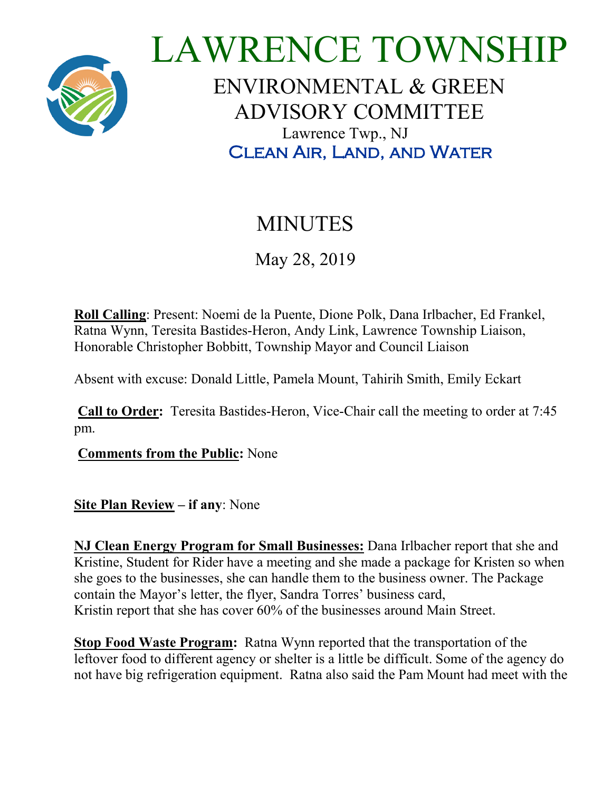

## LAWRENCE TOWNSHIP ENVIRONMENTAL & GREEN ADVISORY COMMITTEE Lawrence Twp., NJ Clean Air, Land, and Water

## MINUTES

May 28, 2019

**Roll Calling**: Present: Noemi de la Puente, Dione Polk, Dana Irlbacher, Ed Frankel, Ratna Wynn, Teresita Bastides-Heron, Andy Link, Lawrence Township Liaison, Honorable Christopher Bobbitt, Township Mayor and Council Liaison

Absent with excuse: Donald Little, Pamela Mount, Tahirih Smith, Emily Eckart

**Call to Order:** Teresita Bastides-Heron, Vice-Chair call the meeting to order at 7:45 pm.

**Comments from the Public:** None

**Site Plan Review – if any**: None

**NJ Clean Energy Program for Small Businesses:** Dana Irlbacher report that she and Kristine, Student for Rider have a meeting and she made a package for Kristen so when she goes to the businesses, she can handle them to the business owner. The Package contain the Mayor's letter, the flyer, Sandra Torres' business card, Kristin report that she has cover 60% of the businesses around Main Street.

**Stop Food Waste Program:** Ratna Wynn reported that the transportation of the leftover food to different agency or shelter is a little be difficult. Some of the agency do not have big refrigeration equipment. Ratna also said the Pam Mount had meet with the